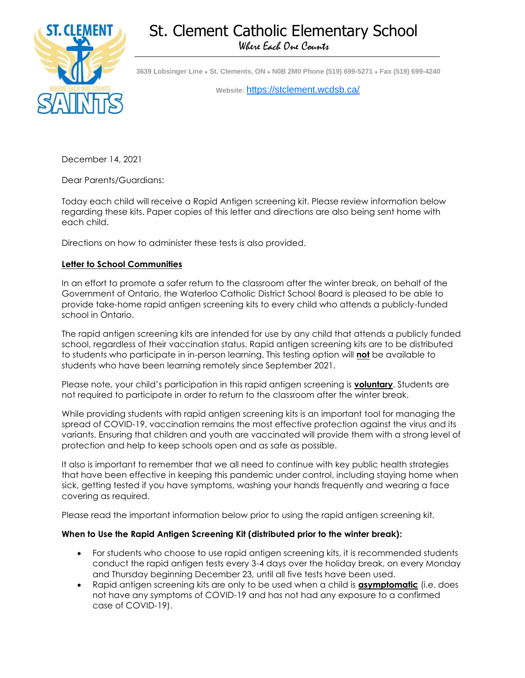# St. Clement Catholic Elementary School Where Each One Counts



**3639 Lobsinger Line ● St. Clements, ON ● N0B 2M0 Phone (519) 699-5271 ● Fax (519) 699-4240** 

**Website:** <https://stclement.wcdsb.ca/>

December 14, 2021

Dear Parents/Guardians:

Today each child will receive a Rapid Antigen screening kit. Please review information below regarding these kits. Paper copies of this letter and directions are also being sent home with each child.

Directions on how to administer these tests is also provided.

#### **Letter to School Communities**

In an effort to promote a safer return to the classroom after the winter break, on behalf of the Government of Ontario, the Waterloo Catholic District School Board is pleased to be able to provide take-home rapid antigen screening kits to every child who attends a publicly-funded school in Ontario.

The rapid antigen screening kits are intended for use by any child that attends a publicly funded school, regardless of their vaccination status. Rapid antigen screening kits are to be distributed to students who participate in in-person learning. This testing option will **not** be available to students who have been learning remotely since September 2021.

Please note, your child's participation in this rapid antigen screening is **voluntary**. Students are not required to participate in order to return to the classroom after the winter break.

While providing students with rapid antigen screening kits is an important tool for managing the spread of COVID-19, vaccination remains the most effective protection against the virus and its variants. Ensuring that children and youth are vaccinated will provide them with a strong level of protection and help to keep schools open and as safe as possible.

It also is important to remember that we all need to continue with key public health strategies that have been effective in keeping this pandemic under control, including staying home when sick, getting tested if you have symptoms, washing your hands frequently and wearing a face covering as required.

Please read the important information below prior to using the rapid antigen screening kit.

### **When to Use the Rapid Antigen Screening Kit (distributed prior to the winter break):**

- For students who choose to use rapid antigen screening kits, it is recommended students conduct the rapid antigen tests every 3-4 days over the holiday break, on every Monday and Thursday beginning December 23, until all five tests have been used.
- Rapid antigen screening kits are only to be used when a child is **asymptomatic** (i.e. does not have any symptoms of COVID-19 and has not had any exposure to a confirmed case of COVID-19).